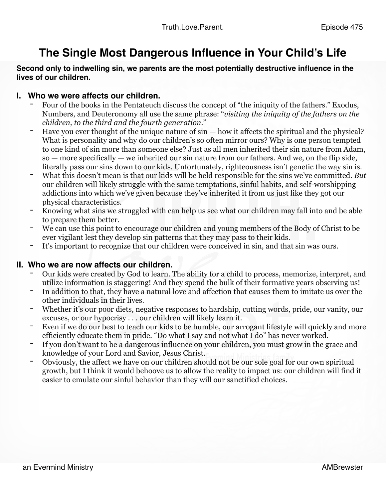# **The Single Most Dangerous Influence in Your Child's Life**

## **Second only to indwelling sin, we parents are the most potentially destructive influence in the lives of our children.**

- **I. Who we were affects our children.**<br>**-** Four of the books in the Pentateuch discuss the concept of "the iniquity of the fathers." Exodus, Numbers, and Deuteronomy all use the same phrase: "*visiting the iniquity of the fathers on the children, to the third and the fourth generation.*"
	- Have you ever thought of the unique nature of sin how it affects the spiritual and the physical? What is personality and why do our children's so often mirror ours? Why is one person tempted to one kind of sin more than someone else? Just as all men inherited their sin nature from Adam, so — more specifically — we inherited our sin nature from our fathers. And we, on the flip side, literally pass our sins down to our kids. Unfortunately, righteousness isn't genetic the way sin is.
	- What this doesn't mean is that our kids will be held responsible for the sins we've committed. *But*  our children will likely struggle with the same temptations, sinful habits, and self-worshipping addictions into which we've given because they've inherited it from us just like they got our physical characteristics.
	- Knowing what sins we struggled with can help us see what our children may fall into and be able to prepare them better.
	- We can use this point to encourage our children and young members of the Body of Christ to be ever vigilant lest they develop sin patterns that they may pass to their kids.
	- It's important to recognize that our children were conceived in sin, and that sin was ours.

- **II. Who we are now affects our children.**<br> **-** Our kids were created by God to learn. The ability for a child to process, memorize, interpret, and utilize information is staggering! And they spend the bulk of their formative years observing us!
	- In addition to that, they have a [natural love and affection](https://www.truthloveparent.com/taking-back-the-family-blog/tlp-471-natural-family-love-family-love-part-3) that causes them to imitate us over the other individuals in their lives.
	- Whether it's our poor diets, negative responses to hardship, cutting words, pride, our vanity, our excuses, or our hypocrisy . . . our children will likely learn it.
	- Even if we do our best to teach our kids to be humble, our arrogant lifestyle will quickly and more efficiently educate them in pride. "Do what I say and not what I do" has never worked.
	- If you don't want to be a dangerous influence on your children, you must grow in the grace and knowledge of your Lord and Savior, Jesus Christ.
	- Obviously, the affect we have on our children should not be our sole goal for our own spiritual growth, but I think it would behoove us to allow the reality to impact us: our children will find it easier to emulate our sinful behavior than they will our sanctified choices.